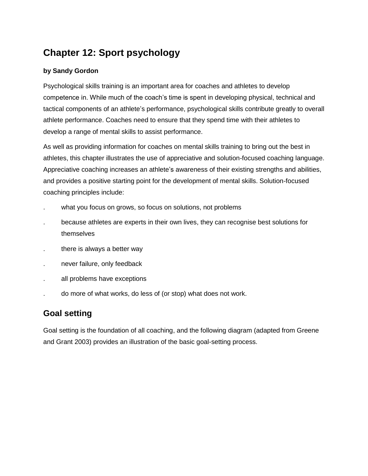# **Chapter 12: Sport psychology**

### **by Sandy Gordon**

Psychological skills training is an important area for coaches and athletes to develop competence in. While much of the coach's time is spent in developing physical, technical and tactical components of an athlete's performance, psychological skills contribute greatly to overall athlete performance. Coaches need to ensure that they spend time with their athletes to develop a range of mental skills to assist performance.

As well as providing information for coaches on mental skills training to bring out the best in athletes, this chapter illustrates the use of appreciative and solution-focused coaching language. Appreciative coaching increases an athlete's awareness of their existing strengths and abilities, and provides a positive starting point for the development of mental skills. Solution-focused coaching principles include:

- what you focus on grows, so focus on solutions, not problems
- . because athletes are experts in their own lives, they can recognise best solutions for themselves
- . there is always a better way
- . never failure, only feedback
- . all problems have exceptions
- . do more of what works, do less of (or stop) what does not work.

# **Goal setting**

Goal setting is the foundation of all coaching, and the following diagram (adapted from Greene and Grant 2003) provides an illustration of the basic goal-setting process.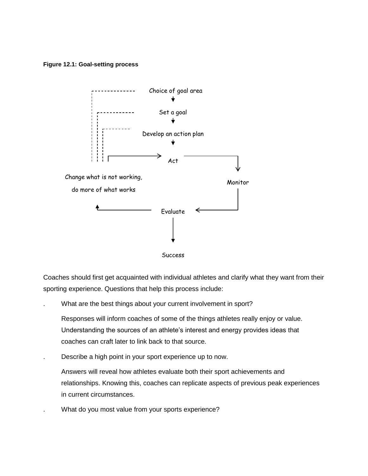#### **Figure 12.1: Goal-setting process**



Coaches should first get acquainted with individual athletes and clarify what they want from their sporting experience. Questions that help this process include:

What are the best things about your current involvement in sport?

Responses will inform coaches of some of the things athletes really enjoy or value. Understanding the sources of an athlete's interest and energy provides ideas that coaches can craft later to link back to that source.

. Describe a high point in your sport experience up to now.

Answers will reveal how athletes evaluate both their sport achievements and relationships. Knowing this, coaches can replicate aspects of previous peak experiences in current circumstances.

. What do you most value from your sports experience?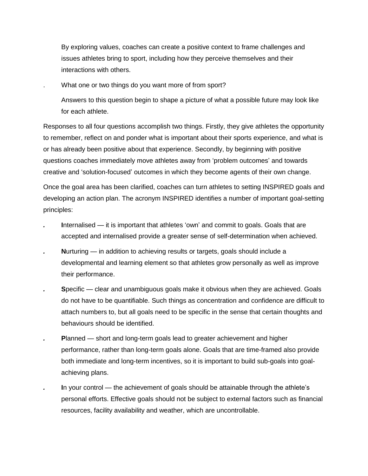By exploring values, coaches can create a positive context to frame challenges and issues athletes bring to sport, including how they perceive themselves and their interactions with others.

What one or two things do you want more of from sport?

Answers to this question begin to shape a picture of what a possible future may look like for each athlete.

Responses to all four questions accomplish two things. Firstly, they give athletes the opportunity to remember, reflect on and ponder what is important about their sports experience, and what is or has already been positive about that experience. Secondly, by beginning with positive questions coaches immediately move athletes away from 'problem outcomes' and towards creative and 'solution-focused' outcomes in which they become agents of their own change.

Once the goal area has been clarified, coaches can turn athletes to setting INSPIRED goals and developing an action plan. The acronym INSPIRED identifies a number of important goal-setting principles:

- Internalised it is important that athletes 'own' and commit to goals. Goals that are accepted and internalised provide a greater sense of self-determination when achieved.
- **Nurturing in addition to achieving results or targets, goals should include a** developmental and learning element so that athletes grow personally as well as improve their performance.
- *.* **S**pecific clear and unambiguous goals make it obvious when they are achieved. Goals do not have to be quantifiable. Such things as concentration and confidence are difficult to attach numbers to, but all goals need to be specific in the sense that certain thoughts and behaviours should be identified.
- **Planned short and long-term goals lead to greater achievement and higher** performance, rather than long-term goals alone. Goals that are time-framed also provide both immediate and long-term incentives, so it is important to build sub-goals into goalachieving plans.
- *.* **I**n your control the achievement of goals should be attainable through the athlete's personal efforts. Effective goals should not be subject to external factors such as financial resources, facility availability and weather, which are uncontrollable.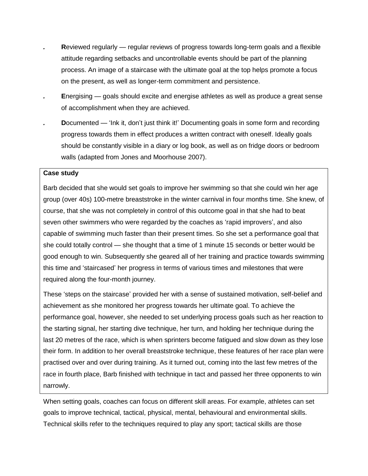- *.* **R**eviewed regularly regular reviews of progress towards long-term goals and a flexible attitude regarding setbacks and uncontrollable events should be part of the planning process. An image of a staircase with the ultimate goal at the top helps promote a focus on the present, as well as longer-term commitment and persistence.
- **Energising goals should excite and energise athletes as well as produce a great sense** of accomplishment when they are achieved.
- **Documented 'Ink it, don't just think it!' Documenting goals in some form and recording** progress towards them in effect produces a written contract with oneself. Ideally goals should be constantly visible in a diary or log book, as well as on fridge doors or bedroom walls (adapted from Jones and Moorhouse 2007).

#### **Case study**

Barb decided that she would set goals to improve her swimming so that she could win her age group (over 40s) 100-metre breaststroke in the winter carnival in four months time. She knew, of course, that she was not completely in control of this outcome goal in that she had to beat seven other swimmers who were regarded by the coaches as 'rapid improvers', and also capable of swimming much faster than their present times. So she set a performance goal that she could totally control — she thought that a time of 1 minute 15 seconds or better would be good enough to win. Subsequently she geared all of her training and practice towards swimming this time and 'staircased' her progress in terms of various times and milestones that were required along the four-month journey.

These 'steps on the staircase' provided her with a sense of sustained motivation, self-belief and achievement as she monitored her progress towards her ultimate goal. To achieve the performance goal, however, she needed to set underlying process goals such as her reaction to the starting signal, her starting dive technique, her turn, and holding her technique during the last 20 metres of the race, which is when sprinters become fatigued and slow down as they lose their form. In addition to her overall breaststroke technique, these features of her race plan were practised over and over during training. As it turned out, coming into the last few metres of the race in fourth place, Barb finished with technique in tact and passed her three opponents to win narrowly.

When setting goals, coaches can focus on different skill areas. For example, athletes can set goals to improve technical, tactical, physical, mental, behavioural and environmental skills. Technical skills refer to the techniques required to play any sport; tactical skills are those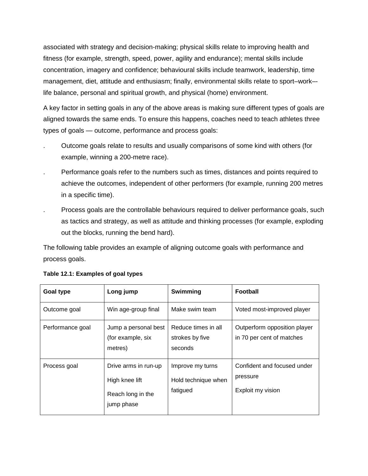associated with strategy and decision-making; physical skills relate to improving health and fitness (for example, strength, speed, power, agility and endurance); mental skills include concentration, imagery and confidence; behavioural skills include teamwork, leadership, time management, diet, attitude and enthusiasm; finally, environmental skills relate to sport–work– life balance, personal and spiritual growth, and physical (home) environment.

A key factor in setting goals in any of the above areas is making sure different types of goals are aligned towards the same ends. To ensure this happens, coaches need to teach athletes three types of goals — outcome, performance and process goals:

- . Outcome goals relate to results and usually comparisons of some kind with others (for example, winning a 200-metre race).
- . Performance goals refer to the numbers such as times, distances and points required to achieve the outcomes, independent of other performers (for example, running 200 metres in a specific time).
- . Process goals are the controllable behaviours required to deliver performance goals, such as tactics and strategy, as well as attitude and thinking processes (for example, exploding out the blocks, running the bend hard).

The following table provides an example of aligning outcome goals with performance and process goals.

| <b>Goal type</b> | Long jump                                                                 | Swimming                                            | <b>Football</b>                                              |
|------------------|---------------------------------------------------------------------------|-----------------------------------------------------|--------------------------------------------------------------|
| Outcome goal     | Win age-group final                                                       | Make swim team                                      | Voted most-improved player                                   |
| Performance goal | Jump a personal best<br>(for example, six<br>metres)                      | Reduce times in all<br>strokes by five<br>seconds   | Outperform opposition player<br>in 70 per cent of matches    |
| Process goal     | Drive arms in run-up<br>High knee lift<br>Reach long in the<br>jump phase | Improve my turns<br>Hold technique when<br>fatigued | Confident and focused under<br>pressure<br>Exploit my vision |

### **Table 12.1: Examples of goal types**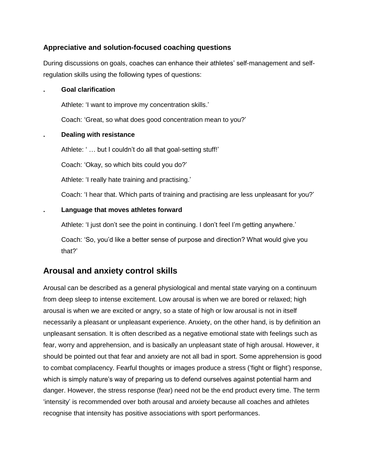### **Appreciative and solution-focused coaching questions**

During discussions on goals, coaches can enhance their athletes' self-management and selfregulation skills using the following types of questions:

#### **. Goal clarification**

Athlete: 'I want to improve my concentration skills.'

Coach: 'Great, so what does good concentration mean to you?'

#### **. Dealing with resistance**

Athlete: '... but I couldn't do all that goal-setting stuff!'

Coach: 'Okay, so which bits could you do?'

Athlete: 'I really hate training and practising.'

Coach: 'I hear that. Which parts of training and practising are less unpleasant for you?'

#### **. Language that moves athletes forward**

Athlete: 'I just don't see the point in continuing. I don't feel I'm getting anywhere.'

Coach: 'So, you'd like a better sense of purpose and direction? What would give you that?'

### **Arousal and anxiety control skills**

Arousal can be described as a general physiological and mental state varying on a continuum from deep sleep to intense excitement. Low arousal is when we are bored or relaxed; high arousal is when we are excited or angry, so a state of high or low arousal is not in itself necessarily a pleasant or unpleasant experience. Anxiety, on the other hand, is by definition an unpleasant sensation. It is often described as a negative emotional state with feelings such as fear, worry and apprehension, and is basically an unpleasant state of high arousal. However, it should be pointed out that fear and anxiety are not all bad in sport. Some apprehension is good to combat complacency. Fearful thoughts or images produce a stress ('fight or flight') response, which is simply nature's way of preparing us to defend ourselves against potential harm and danger. However, the stress response (fear) need not be the end product every time. The term 'intensity' is recommended over both arousal and anxiety because all coaches and athletes recognise that intensity has positive associations with sport performances.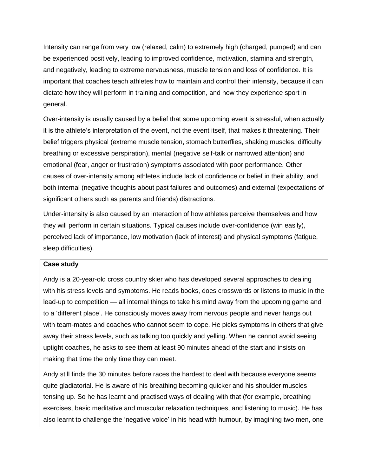Intensity can range from very low (relaxed, calm) to extremely high (charged, pumped) and can be experienced positively, leading to improved confidence, motivation, stamina and strength, and negatively, leading to extreme nervousness, muscle tension and loss of confidence. It is important that coaches teach athletes how to maintain and control their intensity, because it can dictate how they will perform in training and competition, and how they experience sport in general.

Over-intensity is usually caused by a belief that some upcoming event is stressful, when actually it is the athlete's interpretation of the event, not the event itself, that makes it threatening. Their belief triggers physical (extreme muscle tension, stomach butterflies, shaking muscles, difficulty breathing or excessive perspiration), mental (negative self-talk or narrowed attention) and emotional (fear, anger or frustration) symptoms associated with poor performance. Other causes of over-intensity among athletes include lack of confidence or belief in their ability, and both internal (negative thoughts about past failures and outcomes) and external (expectations of significant others such as parents and friends) distractions.

Under-intensity is also caused by an interaction of how athletes perceive themselves and how they will perform in certain situations. Typical causes include over-confidence (win easily), perceived lack of importance, low motivation (lack of interest) and physical symptoms (fatigue, sleep difficulties).

#### **Case study**

Andy is a 20-year-old cross country skier who has developed several approaches to dealing with his stress levels and symptoms. He reads books, does crosswords or listens to music in the lead-up to competition — all internal things to take his mind away from the upcoming game and to a 'different place'. He consciously moves away from nervous people and never hangs out with team-mates and coaches who cannot seem to cope. He picks symptoms in others that give away their stress levels, such as talking too quickly and yelling. When he cannot avoid seeing uptight coaches, he asks to see them at least 90 minutes ahead of the start and insists on making that time the only time they can meet.

Andy still finds the 30 minutes before races the hardest to deal with because everyone seems quite gladiatorial. He is aware of his breathing becoming quicker and his shoulder muscles tensing up. So he has learnt and practised ways of dealing with that (for example, breathing exercises, basic meditative and muscular relaxation techniques, and listening to music). He has also learnt to challenge the 'negative voice' in his head with humour, by imagining two men, one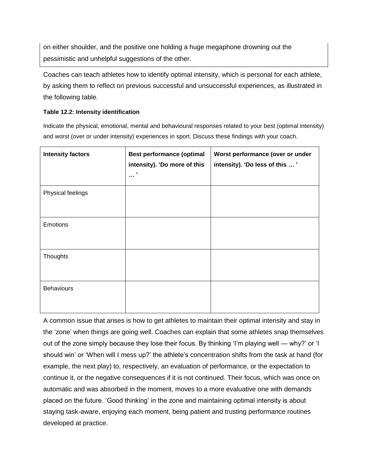on either shoulder, and the positive one holding a huge megaphone drowning out the pessimistic and unhelpful suggestions of the other.

Coaches can teach athletes how to identify optimal intensity, which is personal for each athlete, by asking them to reflect on previous successful and unsuccessful experiences, as illustrated in the following table.

#### **Table 12.2: Intensity identification**

Indicate the physical, emotional, mental and behavioural responses related to your best (optimal intensity) and worst (over or under intensity) experiences in sport. Discuss these findings with your coach.

| <b>Intensity factors</b> | <b>Best performance (optimal</b><br>intensity). 'Do more of this<br>,<br>$\cdots$ | Worst performance (over or under<br>intensity). 'Do less of this ' |
|--------------------------|-----------------------------------------------------------------------------------|--------------------------------------------------------------------|
| Physical feelings        |                                                                                   |                                                                    |
| Emotions                 |                                                                                   |                                                                    |
| Thoughts                 |                                                                                   |                                                                    |
| <b>Behaviours</b>        |                                                                                   |                                                                    |

A common issue that arises is how to get athletes to maintain their optimal intensity and stay in the 'zone' when things are going well. Coaches can explain that some athletes snap themselves out of the zone simply because they lose their focus. By thinking 'I'm playing well — why?' or 'I should win' or 'When will I mess up?' the athlete's concentration shifts from the task at hand (for example, the next play) to, respectively, an evaluation of performance, or the expectation to continue it, or the negative consequences if it is not continued. Their focus, which was once on automatic and was absorbed in the moment, moves to a more evaluative one with demands placed on the future. 'Good thinking' in the zone and maintaining optimal intensity is about staying task-aware, enjoying each moment, being patient and trusting performance routines developed at practice.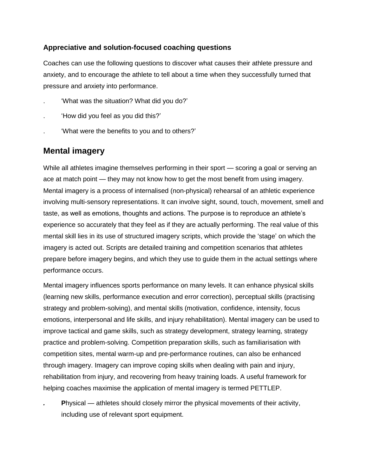### **Appreciative and solution-focused coaching questions**

Coaches can use the following questions to discover what causes their athlete pressure and anxiety, and to encourage the athlete to tell about a time when they successfully turned that pressure and anxiety into performance.

- . 'What was the situation? What did you do?'
- . 'How did you feel as you did this?'
- . 'What were the benefits to you and to others?'

## **Mental imagery**

While all athletes imagine themselves performing in their sport — scoring a goal or serving an ace at match point — they may not know how to get the most benefit from using imagery. Mental imagery is a process of internalised (non-physical) rehearsal of an athletic experience involving multi-sensory representations. It can involve sight, sound, touch, movement, smell and taste, as well as emotions, thoughts and actions. The purpose is to reproduce an athlete's experience so accurately that they feel as if they are actually performing. The real value of this mental skill lies in its use of structured imagery scripts, which provide the 'stage' on which the imagery is acted out. Scripts are detailed training and competition scenarios that athletes prepare before imagery begins, and which they use to guide them in the actual settings where performance occurs.

Mental imagery influences sports performance on many levels. It can enhance physical skills (learning new skills, performance execution and error correction), perceptual skills (practising strategy and problem-solving), and mental skills (motivation, confidence, intensity, focus emotions, interpersonal and life skills, and injury rehabilitation). Mental imagery can be used to improve tactical and game skills, such as strategy development, strategy learning, strategy practice and problem-solving. Competition preparation skills, such as familiarisation with competition sites, mental warm-up and pre-performance routines, can also be enhanced through imagery. Imagery can improve coping skills when dealing with pain and injury, rehabilitation from injury, and recovering from heavy training loads. A useful framework for helping coaches maximise the application of mental imagery is termed PETTLEP.

**Physical — athletes should closely mirror the physical movements of their activity,** including use of relevant sport equipment.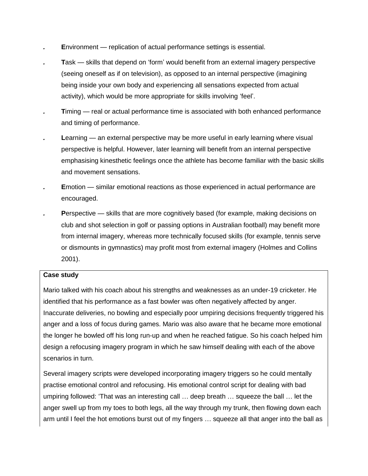- *.* **E**nvironment replication of actual performance settings is essential.
- **Task** skills that depend on 'form' would benefit from an external imagery perspective (seeing oneself as if on television), as opposed to an internal perspective (imagining being inside your own body and experiencing all sensations expected from actual activity), which would be more appropriate for skills involving 'feel'.
- **T**iming real or actual performance time is associated with both enhanced performance and timing of performance.
- **Learning an external perspective may be more useful in early learning where visual** perspective is helpful. However, later learning will benefit from an internal perspective emphasising kinesthetic feelings once the athlete has become familiar with the basic skills and movement sensations.
- **E**motion similar emotional reactions as those experienced in actual performance are encouraged.
- **Perspective skills that are more cognitively based (for example, making decisions on** club and shot selection in golf or passing options in Australian football) may benefit more from internal imagery, whereas more technically focused skills (for example, tennis serve or dismounts in gymnastics) may profit most from external imagery (Holmes and Collins 2001).

### **Case study**

Mario talked with his coach about his strengths and weaknesses as an under-19 cricketer. He identified that his performance as a fast bowler was often negatively affected by anger. Inaccurate deliveries, no bowling and especially poor umpiring decisions frequently triggered his anger and a loss of focus during games. Mario was also aware that he became more emotional the longer he bowled off his long run-up and when he reached fatigue. So his coach helped him design a refocusing imagery program in which he saw himself dealing with each of the above scenarios in turn.

Several imagery scripts were developed incorporating imagery triggers so he could mentally practise emotional control and refocusing. His emotional control script for dealing with bad umpiring followed: 'That was an interesting call … deep breath … squeeze the ball … let the anger swell up from my toes to both legs, all the way through my trunk, then flowing down each arm until I feel the hot emotions burst out of my fingers … squeeze all that anger into the ball as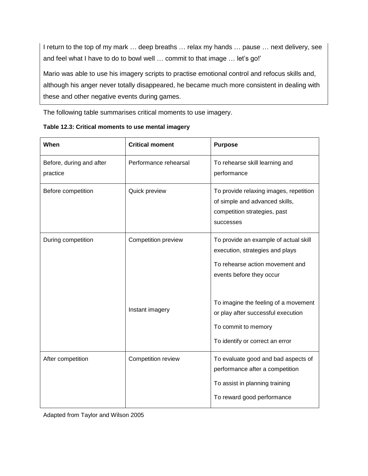I return to the top of my mark … deep breaths … relax my hands … pause … next delivery, see and feel what I have to do to bowl well … commit to that image … let's go!'

Mario was able to use his imagery scripts to practise emotional control and refocus skills and, although his anger never totally disappeared, he became much more consistent in dealing with these and other negative events during games.

The following table summarises critical moments to use imagery.

| When                                 | <b>Critical moment</b>                 | <b>Purpose</b>                                                                                                                                                                                                                               |
|--------------------------------------|----------------------------------------|----------------------------------------------------------------------------------------------------------------------------------------------------------------------------------------------------------------------------------------------|
| Before, during and after<br>practice | Performance rehearsal                  | To rehearse skill learning and<br>performance                                                                                                                                                                                                |
| Before competition                   | Quick preview                          | To provide relaxing images, repetition<br>of simple and advanced skills,<br>competition strategies, past<br>successes                                                                                                                        |
| During competition                   | Competition preview<br>Instant imagery | To provide an example of actual skill<br>execution, strategies and plays<br>To rehearse action movement and<br>events before they occur<br>To imagine the feeling of a movement<br>or play after successful execution<br>To commit to memory |
|                                      |                                        | To identify or correct an error                                                                                                                                                                                                              |
| After competition                    | Competition review                     | To evaluate good and bad aspects of<br>performance after a competition<br>To assist in planning training<br>To reward good performance                                                                                                       |

| Table 12.3: Critical moments to use mental imagery |  |
|----------------------------------------------------|--|
|----------------------------------------------------|--|

Adapted from Taylor and Wilson 2005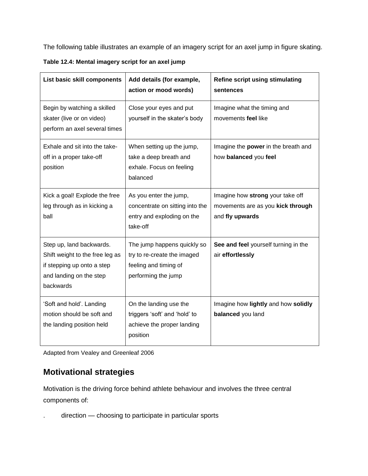The following table illustrates an example of an imagery script for an axel jump in figure skating.

| List basic skill components                                                                                                       | Add details (for example,<br>action or mood words)                                                         | <b>Refine script using stimulating</b><br>sentences                                      |
|-----------------------------------------------------------------------------------------------------------------------------------|------------------------------------------------------------------------------------------------------------|------------------------------------------------------------------------------------------|
| Begin by watching a skilled<br>skater (live or on video)<br>perform an axel several times                                         | Close your eyes and put<br>yourself in the skater's body                                                   | Imagine what the timing and<br>movements feel like                                       |
| Exhale and sit into the take-<br>off in a proper take-off<br>position                                                             | When setting up the jump,<br>take a deep breath and<br>exhale. Focus on feeling<br>balanced                | Imagine the power in the breath and<br>how balanced you feel                             |
| Kick a goal! Explode the free<br>leg through as in kicking a<br>ball                                                              | As you enter the jump,<br>concentrate on sitting into the<br>entry and exploding on the<br>take-off        | Imagine how strong your take off<br>movements are as you kick through<br>and fly upwards |
| Step up, land backwards.<br>Shift weight to the free leg as<br>if stepping up onto a step<br>and landing on the step<br>backwards | The jump happens quickly so<br>try to re-create the imaged<br>feeling and timing of<br>performing the jump | See and feel yourself turning in the<br>air effortlessly                                 |
| 'Soft and hold'. Landing<br>motion should be soft and<br>the landing position held                                                | On the landing use the<br>triggers 'soft' and 'hold' to<br>achieve the proper landing<br>position          | Imagine how lightly and how solidly<br>balanced you land                                 |

**Table 12.4: Mental imagery script for an axel jump**

Adapted from Vealey and Greenleaf 2006

# **Motivational strategies**

Motivation is the driving force behind athlete behaviour and involves the three central components of:

. direction — choosing to participate in particular sports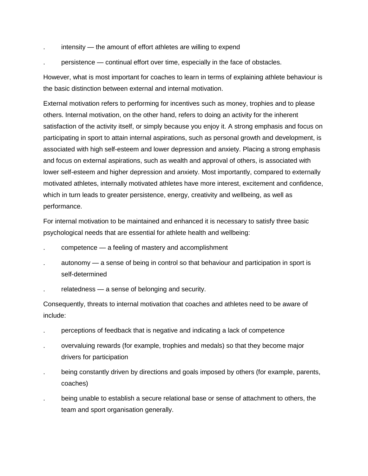- . intensity the amount of effort athletes are willing to expend
- . persistence continual effort over time, especially in the face of obstacles.

However, what is most important for coaches to learn in terms of explaining athlete behaviour is the basic distinction between external and internal motivation.

External motivation refers to performing for incentives such as money, trophies and to please others. Internal motivation, on the other hand, refers to doing an activity for the inherent satisfaction of the activity itself, or simply because you enjoy it. A strong emphasis and focus on participating in sport to attain internal aspirations, such as personal growth and development, is associated with high self-esteem and lower depression and anxiety. Placing a strong emphasis and focus on external aspirations, such as wealth and approval of others, is associated with lower self-esteem and higher depression and anxiety. Most importantly, compared to externally motivated athletes, internally motivated athletes have more interest, excitement and confidence, which in turn leads to greater persistence, energy, creativity and wellbeing, as well as performance.

For internal motivation to be maintained and enhanced it is necessary to satisfy three basic psychological needs that are essential for athlete health and wellbeing:

- . competence a feeling of mastery and accomplishment
- . autonomy a sense of being in control so that behaviour and participation in sport is self-determined
- . relatedness a sense of belonging and security.

Consequently, threats to internal motivation that coaches and athletes need to be aware of include:

- . perceptions of feedback that is negative and indicating a lack of competence
- . overvaluing rewards (for example, trophies and medals) so that they become major drivers for participation
- . being constantly driven by directions and goals imposed by others (for example, parents, coaches)
- . being unable to establish a secure relational base or sense of attachment to others, the team and sport organisation generally.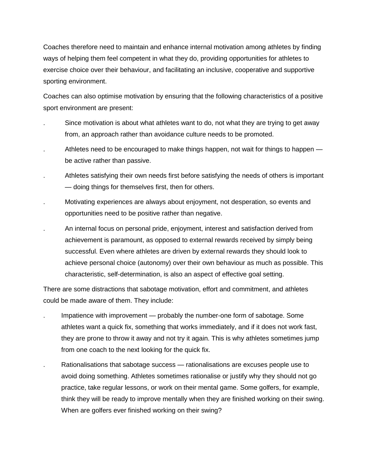Coaches therefore need to maintain and enhance internal motivation among athletes by finding ways of helping them feel competent in what they do, providing opportunities for athletes to exercise choice over their behaviour, and facilitating an inclusive, cooperative and supportive sporting environment.

Coaches can also optimise motivation by ensuring that the following characteristics of a positive sport environment are present:

- . Since motivation is about what athletes want to do, not what they are trying to get away from, an approach rather than avoidance culture needs to be promoted.
- Athletes need to be encouraged to make things happen, not wait for things to happen be active rather than passive.
- . Athletes satisfying their own needs first before satisfying the needs of others is important — doing things for themselves first, then for others.
- . Motivating experiences are always about enjoyment, not desperation, so events and opportunities need to be positive rather than negative.
- . An internal focus on personal pride, enjoyment, interest and satisfaction derived from achievement is paramount, as opposed to external rewards received by simply being successful. Even where athletes are driven by external rewards they should look to achieve personal choice (autonomy) over their own behaviour as much as possible. This characteristic, self-determination, is also an aspect of effective goal setting.

There are some distractions that sabotage motivation, effort and commitment, and athletes could be made aware of them. They include:

- . Impatience with improvement probably the number-one form of sabotage. Some athletes want a quick fix, something that works immediately, and if it does not work fast, they are prone to throw it away and not try it again. This is why athletes sometimes jump from one coach to the next looking for the quick fix.
- . Rationalisations that sabotage success rationalisations are excuses people use to avoid doing something. Athletes sometimes rationalise or justify why they should not go practice, take regular lessons, or work on their mental game. Some golfers, for example, think they will be ready to improve mentally when they are finished working on their swing. When are golfers ever finished working on their swing?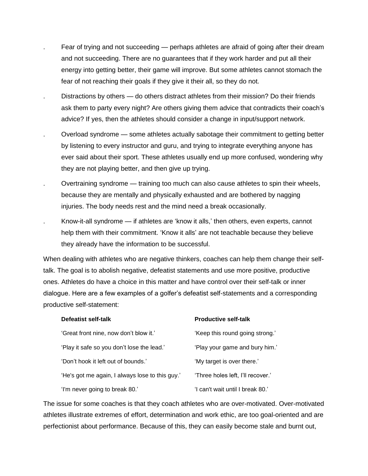- . Fear of trying and not succeeding perhaps athletes are afraid of going after their dream and not succeeding. There are no guarantees that if they work harder and put all their energy into getting better, their game will improve. But some athletes cannot stomach the fear of not reaching their goals if they give it their all, so they do not.
- Distractions by others do others distract athletes from their mission? Do their friends ask them to party every night? Are others giving them advice that contradicts their coach's advice? If yes, then the athletes should consider a change in input/support network.
- . Overload syndrome some athletes actually sabotage their commitment to getting better by listening to every instructor and guru, and trying to integrate everything anyone has ever said about their sport. These athletes usually end up more confused, wondering why they are not playing better, and then give up trying.
- . Overtraining syndrome training too much can also cause athletes to spin their wheels, because they are mentally and physically exhausted and are bothered by nagging injuries. The body needs rest and the mind need a break occasionally.
- Know-it-all syndrome if athletes are 'know it alls,' then others, even experts, cannot help them with their commitment. 'Know it alls' are not teachable because they believe they already have the information to be successful.

When dealing with athletes who are negative thinkers, coaches can help them change their selftalk. The goal is to abolish negative, defeatist statements and use more positive, productive ones. Athletes do have a choice in this matter and have control over their self-talk or inner dialogue. Here are a few examples of a golfer's defeatist self-statements and a corresponding productive self-statement:

| Defeatist self-talk                             | <b>Productive self-talk</b>       |
|-------------------------------------------------|-----------------------------------|
| 'Great front nine, now don't blow it.'          | 'Keep this round going strong.'   |
| 'Play it safe so you don't lose the lead.'      | 'Play your game and bury him.'    |
| 'Don't hook it left out of bounds.'             | 'My target is over there.'        |
| 'He's got me again, I always lose to this guy.' | 'Three holes left, I'll recover.' |
| 'I'm never going to break 80.'                  | 'I can't wait until I break 80.'  |

The issue for some coaches is that they coach athletes who are over-motivated. Over-motivated athletes illustrate extremes of effort, determination and work ethic, are too goal-oriented and are perfectionist about performance. Because of this, they can easily become stale and burnt out,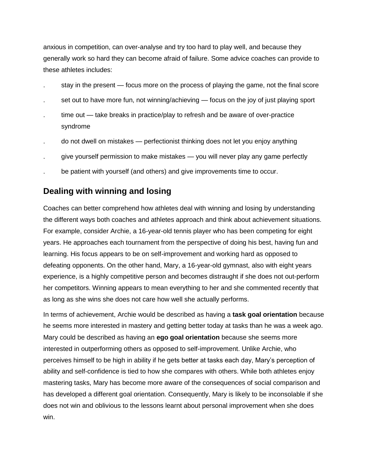anxious in competition, can over-analyse and try too hard to play well, and because they generally work so hard they can become afraid of failure. Some advice coaches can provide to these athletes includes:

- . stay in the present focus more on the process of playing the game, not the final score
- set out to have more fun, not winning/achieving focus on the joy of just playing sport
- time out take breaks in practice/play to refresh and be aware of over-practice syndrome
- . do not dwell on mistakes perfectionist thinking does not let you enjoy anything
- . give yourself permission to make mistakes you will never play any game perfectly
- be patient with yourself (and others) and give improvements time to occur.

# **Dealing with winning and losing**

Coaches can better comprehend how athletes deal with winning and losing by understanding the different ways both coaches and athletes approach and think about achievement situations. For example, consider Archie, a 16-year-old tennis player who has been competing for eight years. He approaches each tournament from the perspective of doing his best, having fun and learning. His focus appears to be on self-improvement and working hard as opposed to defeating opponents. On the other hand, Mary, a 16-year-old gymnast, also with eight years experience, is a highly competitive person and becomes distraught if she does not out-perform her competitors. Winning appears to mean everything to her and she commented recently that as long as she wins she does not care how well she actually performs.

In terms of achievement, Archie would be described as having a **task goal orientation** because he seems more interested in mastery and getting better today at tasks than he was a week ago. Mary could be described as having an **ego goal orientation** because she seems more interested in outperforming others as opposed to self-improvement. Unlike Archie, who perceives himself to be high in ability if he gets better at tasks each day, Mary's perception of ability and self-confidence is tied to how she compares with others. While both athletes enjoy mastering tasks, Mary has become more aware of the consequences of social comparison and has developed a different goal orientation. Consequently, Mary is likely to be inconsolable if she does not win and oblivious to the lessons learnt about personal improvement when she does win.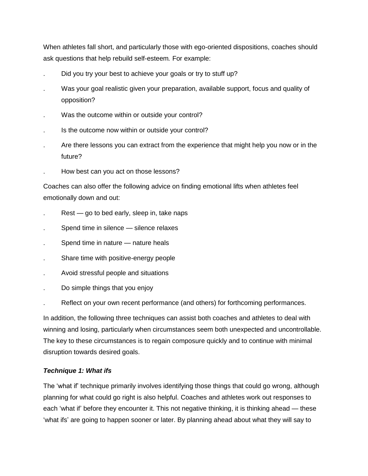When athletes fall short, and particularly those with ego-oriented dispositions, coaches should ask questions that help rebuild self-esteem*.* For example:

- Did you try your best to achieve your goals or try to stuff up?
- . Was your goal realistic given your preparation, available support, focus and quality of opposition?
- Was the outcome within or outside your control?
- . Is the outcome now within or outside your control?
- . Are there lessons you can extract from the experience that might help you now or in the future?
- . How best can you act on those lessons?

Coaches can also offer the following advice on finding emotional lifts when athletes feel emotionally down and out:

- Rest go to bed early, sleep in, take naps
- Spend time in silence silence relaxes
- Spend time in nature nature heals
- . Share time with positive-energy people
- . Avoid stressful people and situations
- . Do simple things that you enjoy
- . Reflect on your own recent performance (and others) for forthcoming performances.

In addition, the following three techniques can assist both coaches and athletes to deal with winning and losing, particularly when circumstances seem both unexpected and uncontrollable. The key to these circumstances is to regain composure quickly and to continue with minimal disruption towards desired goals.

#### *Technique 1: What ifs*

The 'what if' technique primarily involves identifying those things that could go wrong, although planning for what could go right is also helpful. Coaches and athletes work out responses to each 'what if' before they encounter it. This not negative thinking, it is thinking ahead — these 'what ifs' are going to happen sooner or later. By planning ahead about what they will say to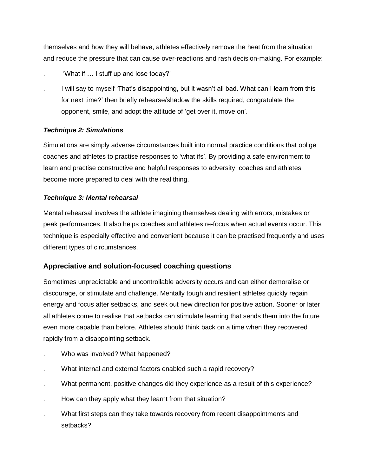themselves and how they will behave, athletes effectively remove the heat from the situation and reduce the pressure that can cause over-reactions and rash decision-making. For example:

- . 'What if … I stuff up and lose today?'
- . I will say to myself 'That's disappointing, but it wasn't all bad. What can I learn from this for next time?' then briefly rehearse/shadow the skills required, congratulate the opponent, smile, and adopt the attitude of 'get over it, move on'.

### *Technique 2: Simulations*

Simulations are simply adverse circumstances built into normal practice conditions that oblige coaches and athletes to practise responses to 'what ifs'. By providing a safe environment to learn and practise constructive and helpful responses to adversity, coaches and athletes become more prepared to deal with the real thing.

### *Technique 3: Mental rehearsal*

Mental rehearsal involves the athlete imagining themselves dealing with errors, mistakes or peak performances. It also helps coaches and athletes re-focus when actual events occur. This technique is especially effective and convenient because it can be practised frequently and uses different types of circumstances.

### **Appreciative and solution-focused coaching questions**

Sometimes unpredictable and uncontrollable adversity occurs and can either demoralise or discourage, or stimulate and challenge. Mentally tough and resilient athletes quickly regain energy and focus after setbacks, and seek out new direction for positive action. Sooner or later all athletes come to realise that setbacks can stimulate learning that sends them into the future even more capable than before. Athletes should think back on a time when they recovered rapidly from a disappointing setback.

- . Who was involved? What happened?
- . What internal and external factors enabled such a rapid recovery?
- . What permanent, positive changes did they experience as a result of this experience?
- . How can they apply what they learnt from that situation?
- . What first steps can they take towards recovery from recent disappointments and setbacks?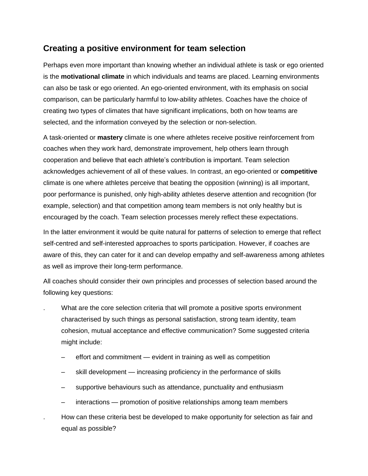## **Creating a positive environment for team selection**

Perhaps even more important than knowing whether an individual athlete is task or ego oriented is the **motivational climate** in which individuals and teams are placed. Learning environments can also be task or ego oriented. An ego-oriented environment, with its emphasis on social comparison, can be particularly harmful to low-ability athletes. Coaches have the choice of creating two types of climates that have significant implications, both on how teams are selected, and the information conveyed by the selection or non-selection.

A task-oriented or **mastery** climate is one where athletes receive positive reinforcement from coaches when they work hard, demonstrate improvement, help others learn through cooperation and believe that each athlete's contribution is important. Team selection acknowledges achievement of all of these values. In contrast, an ego-oriented or **competitive**  climate is one where athletes perceive that beating the opposition (winning) is all important, poor performance is punished, only high-ability athletes deserve attention and recognition (for example, selection) and that competition among team members is not only healthy but is encouraged by the coach. Team selection processes merely reflect these expectations.

In the latter environment it would be quite natural for patterns of selection to emerge that reflect self-centred and self-interested approaches to sports participation. However, if coaches are aware of this, they can cater for it and can develop empathy and self-awareness among athletes as well as improve their long-term performance.

All coaches should consider their own principles and processes of selection based around the following key questions:

- . What are the core selection criteria that will promote a positive sports environment characterised by such things as personal satisfaction, strong team identity, team cohesion, mutual acceptance and effective communication? Some suggested criteria might include:
	- effort and commitment evident in training as well as competition
	- skill development increasing proficiency in the performance of skills
	- supportive behaviours such as attendance, punctuality and enthusiasm
	- interactions promotion of positive relationships among team members
	- . How can these criteria best be developed to make opportunity for selection as fair and equal as possible?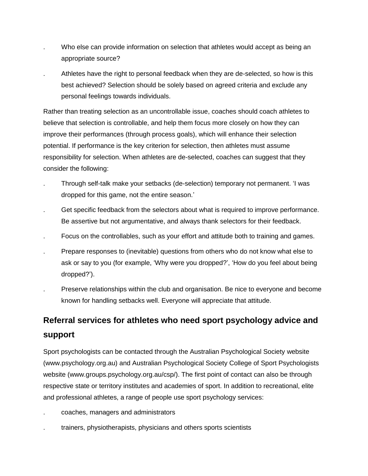- Who else can provide information on selection that athletes would accept as being an appropriate source?
- . Athletes have the right to personal feedback when they are de-selected, so how is this best achieved? Selection should be solely based on agreed criteria and exclude any personal feelings towards individuals.

Rather than treating selection as an uncontrollable issue, coaches should coach athletes to believe that selection is controllable, and help them focus more closely on how they can improve their performances (through process goals), which will enhance their selection potential. If performance is the key criterion for selection, then athletes must assume responsibility for selection. When athletes are de-selected, coaches can suggest that they consider the following:

- . Through self-talk make your setbacks (de-selection) temporary not permanent. 'I was dropped for this game, not the entire season.'
- . Get specific feedback from the selectors about what is required to improve performance. Be assertive but not argumentative, and always thank selectors for their feedback.
- . Focus on the controllables, such as your effort and attitude both to training and games.
- . Prepare responses to (inevitable) questions from others who do not know what else to ask or say to you (for example, 'Why were you dropped?', 'How do you feel about being dropped?').
- . Preserve relationships within the club and organisation. Be nice to everyone and become known for handling setbacks well. Everyone will appreciate that attitude.

# **Referral services for athletes who need sport psychology advice and support**

Sport psychologists can be contacted through the Australian Psychological Society website (www.psychology.org.au) and Australian Psychological Society College of Sport Psychologists website (www.groups.psychology.org.au/csp/). The first point of contact can also be through respective state or territory institutes and academies of sport. In addition to recreational, elite and professional athletes, a range of people use sport psychology services:

- . coaches, managers and administrators
- . trainers, physiotherapists, physicians and others sports scientists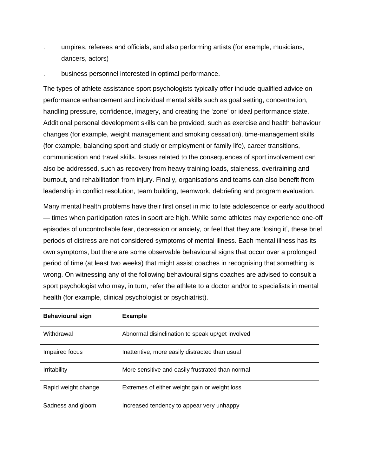- . umpires, referees and officials, and also performing artists (for example, musicians, dancers, actors)
- . business personnel interested in optimal performance.

The types of athlete assistance sport psychologists typically offer include qualified advice on performance enhancement and individual mental skills such as goal setting, concentration, handling pressure, confidence, imagery, and creating the 'zone' or ideal performance state. Additional personal development skills can be provided, such as exercise and health behaviour changes (for example, weight management and smoking cessation), time-management skills (for example, balancing sport and study or employment or family life), career transitions, communication and travel skills. Issues related to the consequences of sport involvement can also be addressed, such as recovery from heavy training loads, staleness, overtraining and burnout, and rehabilitation from injury. Finally, organisations and teams can also benefit from leadership in conflict resolution, team building, teamwork, debriefing and program evaluation.

Many mental health problems have their first onset in mid to late adolescence or early adulthood — times when participation rates in sport are high. While some athletes may experience one-off episodes of uncontrollable fear, depression or anxiety, or feel that they are 'losing it', these brief periods of distress are not considered symptoms of mental illness. Each mental illness has its own symptoms, but there are some observable behavioural signs that occur over a prolonged period of time (at least two weeks) that might assist coaches in recognising that something is wrong. On witnessing any of the following behavioural signs coaches are advised to consult a sport psychologist who may, in turn, refer the athlete to a doctor and/or to specialists in mental health (for example, clinical psychologist or psychiatrist).

| <b>Behavioural sign</b> | <b>Example</b>                                   |
|-------------------------|--------------------------------------------------|
| Withdrawal              | Abnormal disinclination to speak up/get involved |
| Impaired focus          | Inattentive, more easily distracted than usual   |
| <b>Irritability</b>     | More sensitive and easily frustrated than normal |
| Rapid weight change     | Extremes of either weight gain or weight loss    |
| Sadness and gloom       | Increased tendency to appear very unhappy        |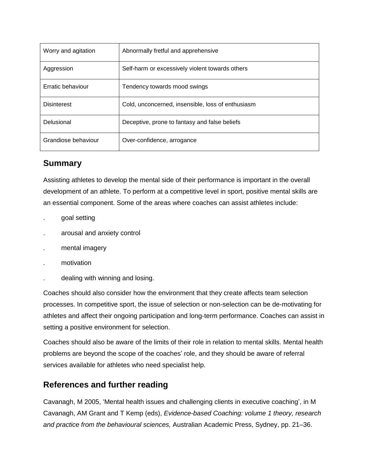| Worry and agitation | Abnormally fretful and apprehensive               |
|---------------------|---------------------------------------------------|
| Aggression          | Self-harm or excessively violent towards others   |
| Erratic behaviour   | Tendency towards mood swings                      |
| <b>Disinterest</b>  | Cold, unconcerned, insensible, loss of enthusiasm |
| Delusional          | Deceptive, prone to fantasy and false beliefs     |
| Grandiose behaviour | Over-confidence, arrogance                        |

# **Summary**

Assisting athletes to develop the mental side of their performance is important in the overall development of an athlete. To perform at a competitive level in sport, positive mental skills are an essential component. Some of the areas where coaches can assist athletes include:

- . goal setting
- . arousal and anxiety control
- . mental imagery
- . motivation
- . dealing with winning and losing.

Coaches should also consider how the environment that they create affects team selection processes. In competitive sport, the issue of selection or non-selection can be de-motivating for athletes and affect their ongoing participation and long-term performance. Coaches can assist in setting a positive environment for selection.

Coaches should also be aware of the limits of their role in relation to mental skills. Mental health problems are beyond the scope of the coaches' role, and they should be aware of referral services available for athletes who need specialist help.

# **References and further reading**

Cavanagh, M 2005, 'Mental health issues and challenging clients in executive coaching', in M Cavanagh, AM Grant and T Kemp (eds), *Evidence-based Coaching: volume 1 theory, research and practice from the behavioural sciences,* Australian Academic Press, Sydney, pp. 21–36.